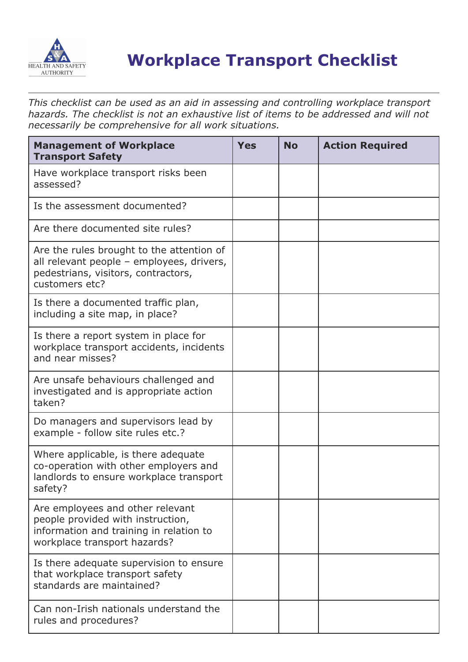

## **Workplace Transport Checklist**

*This checklist can be used as an aid in assessing and controlling workplace transport hazards. The checklist is not an exhaustive list of items to be addressed and will not necessarily be comprehensive for all work situations.*

| <b>Management of Workplace</b><br><b>Transport Safety</b>                                                                                        | <b>Yes</b> | <b>No</b> | <b>Action Required</b> |
|--------------------------------------------------------------------------------------------------------------------------------------------------|------------|-----------|------------------------|
| Have workplace transport risks been<br>assessed?                                                                                                 |            |           |                        |
| Is the assessment documented?                                                                                                                    |            |           |                        |
| Are there documented site rules?                                                                                                                 |            |           |                        |
| Are the rules brought to the attention of<br>all relevant people - employees, drivers,<br>pedestrians, visitors, contractors,<br>customers etc?  |            |           |                        |
| Is there a documented traffic plan,<br>including a site map, in place?                                                                           |            |           |                        |
| Is there a report system in place for<br>workplace transport accidents, incidents<br>and near misses?                                            |            |           |                        |
| Are unsafe behaviours challenged and<br>investigated and is appropriate action<br>taken?                                                         |            |           |                        |
| Do managers and supervisors lead by<br>example - follow site rules etc.?                                                                         |            |           |                        |
| Where applicable, is there adequate<br>co-operation with other employers and<br>landlords to ensure workplace transport<br>safety?               |            |           |                        |
| Are employees and other relevant<br>people provided with instruction,<br>information and training in relation to<br>workplace transport hazards? |            |           |                        |
| Is there adequate supervision to ensure<br>that workplace transport safety<br>standards are maintained?                                          |            |           |                        |
| Can non-Irish nationals understand the<br>rules and procedures?                                                                                  |            |           |                        |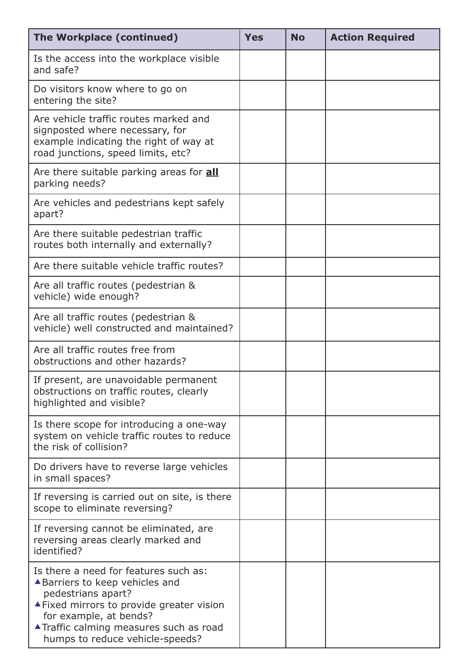| The Workplace (continued)                                                                                                                                                                                                                           | <b>Yes</b> | <b>No</b> | <b>Action Required</b> |
|-----------------------------------------------------------------------------------------------------------------------------------------------------------------------------------------------------------------------------------------------------|------------|-----------|------------------------|
| Is the access into the workplace visible<br>and safe?                                                                                                                                                                                               |            |           |                        |
| Do visitors know where to go on<br>entering the site?                                                                                                                                                                                               |            |           |                        |
| Are vehicle traffic routes marked and<br>signposted where necessary, for<br>example indicating the right of way at<br>road junctions, speed limits, etc?                                                                                            |            |           |                        |
| Are there suitable parking areas for <b>all</b><br>parking needs?                                                                                                                                                                                   |            |           |                        |
| Are vehicles and pedestrians kept safely<br>apart?                                                                                                                                                                                                  |            |           |                        |
| Are there suitable pedestrian traffic<br>routes both internally and externally?                                                                                                                                                                     |            |           |                        |
| Are there suitable vehicle traffic routes?                                                                                                                                                                                                          |            |           |                        |
| Are all traffic routes (pedestrian &<br>vehicle) wide enough?                                                                                                                                                                                       |            |           |                        |
| Are all traffic routes (pedestrian &<br>vehicle) well constructed and maintained?                                                                                                                                                                   |            |           |                        |
| Are all traffic routes free from<br>obstructions and other hazards?                                                                                                                                                                                 |            |           |                        |
| If present, are unavoidable permanent<br>obstructions on traffic routes, clearly<br>highlighted and visible?                                                                                                                                        |            |           |                        |
| Is there scope for introducing a one-way<br>system on vehicle traffic routes to reduce<br>the risk of collision?                                                                                                                                    |            |           |                        |
| Do drivers have to reverse large vehicles<br>in small spaces?                                                                                                                                                                                       |            |           |                        |
| If reversing is carried out on site, is there<br>scope to eliminate reversing?                                                                                                                                                                      |            |           |                        |
| If reversing cannot be eliminated, are<br>reversing areas clearly marked and<br>identified?                                                                                                                                                         |            |           |                        |
| Is there a need for features such as:<br>▲ Barriers to keep vehicles and<br>pedestrians apart?<br>▲ Fixed mirrors to provide greater vision<br>for example, at bends?<br>▲ Traffic calming measures such as road<br>humps to reduce vehicle-speeds? |            |           |                        |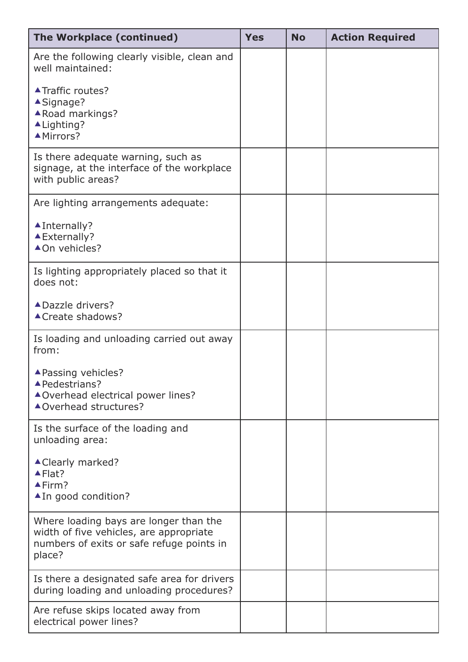| The Workplace (continued)                                                                                                                | <b>Yes</b> | <b>No</b> | <b>Action Required</b> |
|------------------------------------------------------------------------------------------------------------------------------------------|------------|-----------|------------------------|
| Are the following clearly visible, clean and<br>well maintained:                                                                         |            |           |                        |
| ▲ Traffic routes?<br>▲Signage?<br>▲ Road markings?<br>▲ Lighting?<br>▲Mirrors?                                                           |            |           |                        |
| Is there adequate warning, such as<br>signage, at the interface of the workplace<br>with public areas?                                   |            |           |                        |
| Are lighting arrangements adequate:                                                                                                      |            |           |                        |
| $\blacktriangle$ Internally?<br>▲ Externally?<br>▲On vehicles?                                                                           |            |           |                        |
| Is lighting appropriately placed so that it<br>does not:                                                                                 |            |           |                        |
| ▲ Dazzle drivers?<br>▲ Create shadows?                                                                                                   |            |           |                        |
| Is loading and unloading carried out away<br>from:                                                                                       |            |           |                        |
| ▲ Passing vehicles?<br>▲ Pedestrians?<br>▲ Overhead electrical power lines?<br>▲Overhead structures?                                     |            |           |                        |
| Is the surface of the loading and<br>unloading area:                                                                                     |            |           |                        |
| ▲ Clearly marked?<br>$\blacktriangle$ Flat?<br>$\blacktriangle$ Firm?<br>▲ In good condition?                                            |            |           |                        |
| Where loading bays are longer than the<br>width of five vehicles, are appropriate<br>numbers of exits or safe refuge points in<br>place? |            |           |                        |
| Is there a designated safe area for drivers<br>during loading and unloading procedures?                                                  |            |           |                        |
| Are refuse skips located away from<br>electrical power lines?                                                                            |            |           |                        |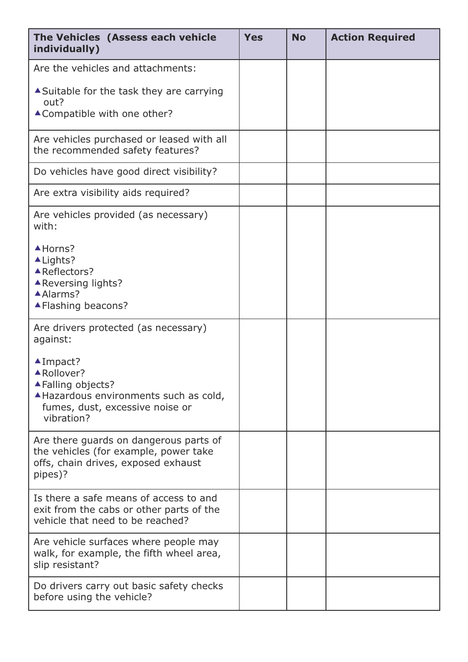| The Vehicles (Assess each vehicle<br>individually)                                                                                                       | <b>Yes</b> | <b>No</b> | <b>Action Required</b> |
|----------------------------------------------------------------------------------------------------------------------------------------------------------|------------|-----------|------------------------|
| Are the vehicles and attachments:                                                                                                                        |            |           |                        |
| ▲ Suitable for the task they are carrying<br>out?                                                                                                        |            |           |                        |
| ▲ Compatible with one other?                                                                                                                             |            |           |                        |
| Are vehicles purchased or leased with all<br>the recommended safety features?                                                                            |            |           |                        |
| Do vehicles have good direct visibility?                                                                                                                 |            |           |                        |
| Are extra visibility aids required?                                                                                                                      |            |           |                        |
| Are vehicles provided (as necessary)<br>with:                                                                                                            |            |           |                        |
| $A$ Horns?<br>$\triangle$ Lights?<br>▲Reflectors?<br>▲ Reversing lights?<br>▲Alarms?<br>▲ Flashing beacons?                                              |            |           |                        |
| Are drivers protected (as necessary)<br>against:                                                                                                         |            |           |                        |
| $\blacktriangle$ Impact?<br>▲ Rollover?<br>▲ Falling objects?<br>A Hazardous environments such as cold,<br>fumes, dust, excessive noise or<br>vibration? |            |           |                        |
| Are there guards on dangerous parts of<br>the vehicles (for example, power take<br>offs, chain drives, exposed exhaust<br>pipes)?                        |            |           |                        |
| Is there a safe means of access to and<br>exit from the cabs or other parts of the<br>vehicle that need to be reached?                                   |            |           |                        |
| Are vehicle surfaces where people may<br>walk, for example, the fifth wheel area,<br>slip resistant?                                                     |            |           |                        |
| Do drivers carry out basic safety checks<br>before using the vehicle?                                                                                    |            |           |                        |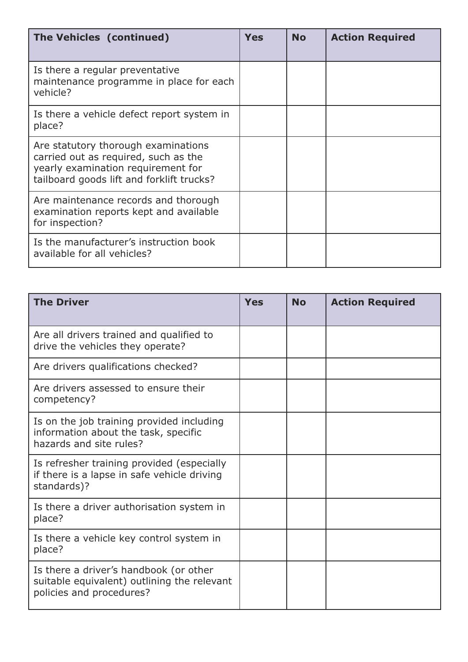| The Vehicles (continued)                                                                                                                                       | <b>Yes</b> | <b>No</b> | <b>Action Required</b> |
|----------------------------------------------------------------------------------------------------------------------------------------------------------------|------------|-----------|------------------------|
| Is there a regular preventative<br>maintenance programme in place for each<br>vehicle?                                                                         |            |           |                        |
| Is there a vehicle defect report system in<br>place?                                                                                                           |            |           |                        |
| Are statutory thorough examinations<br>carried out as required, such as the<br>yearly examination requirement for<br>tailboard goods lift and forklift trucks? |            |           |                        |
| Are maintenance records and thorough<br>examination reports kept and available<br>for inspection?                                                              |            |           |                        |
| Is the manufacturer's instruction book<br>available for all vehicles?                                                                                          |            |           |                        |

| <b>The Driver</b>                                                                                                 | <b>Yes</b> | <b>No</b> | <b>Action Required</b> |
|-------------------------------------------------------------------------------------------------------------------|------------|-----------|------------------------|
| Are all drivers trained and qualified to<br>drive the vehicles they operate?                                      |            |           |                        |
| Are drivers qualifications checked?                                                                               |            |           |                        |
| Are drivers assessed to ensure their<br>competency?                                                               |            |           |                        |
| Is on the job training provided including<br>information about the task, specific<br>hazards and site rules?      |            |           |                        |
| Is refresher training provided (especially<br>if there is a lapse in safe vehicle driving<br>standards)?          |            |           |                        |
| Is there a driver authorisation system in<br>place?                                                               |            |           |                        |
| Is there a vehicle key control system in<br>place?                                                                |            |           |                        |
| Is there a driver's handbook (or other<br>suitable equivalent) outlining the relevant<br>policies and procedures? |            |           |                        |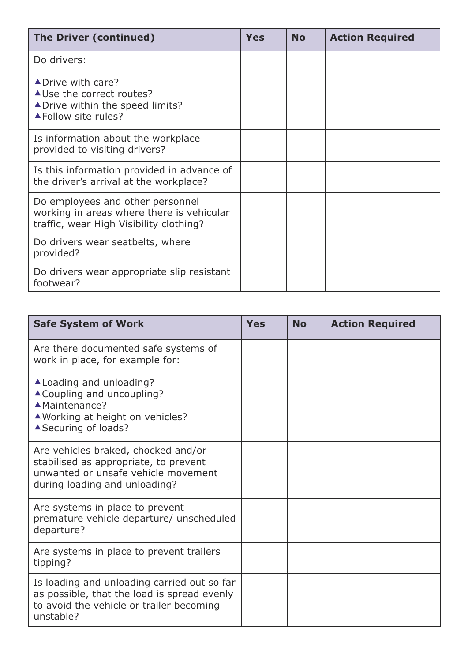| <b>The Driver (continued)</b>                                                                                            | Yes | <b>No</b> | <b>Action Required</b> |
|--------------------------------------------------------------------------------------------------------------------------|-----|-----------|------------------------|
| Do drivers:                                                                                                              |     |           |                        |
| ▲ Drive with care?<br>▲ Use the correct routes?<br>▲ Drive within the speed limits?<br>▲ Follow site rules?              |     |           |                        |
| Is information about the workplace<br>provided to visiting drivers?                                                      |     |           |                        |
| Is this information provided in advance of<br>the driver's arrival at the workplace?                                     |     |           |                        |
| Do employees and other personnel<br>working in areas where there is vehicular<br>traffic, wear High Visibility clothing? |     |           |                        |
| Do drivers wear seatbelts, where<br>provided?                                                                            |     |           |                        |
| Do drivers wear appropriate slip resistant<br>footwear?                                                                  |     |           |                        |

| <b>Safe System of Work</b>                                                                                                                           | <b>Yes</b> | <b>No</b> | <b>Action Required</b> |
|------------------------------------------------------------------------------------------------------------------------------------------------------|------------|-----------|------------------------|
| Are there documented safe systems of<br>work in place, for example for:                                                                              |            |           |                        |
| ▲ Loading and unloading?<br>▲ Coupling and uncoupling?<br>▲ Maintenance?<br>▲ Working at height on vehicles?<br>▲ Securing of loads?                 |            |           |                        |
| Are vehicles braked, chocked and/or<br>stabilised as appropriate, to prevent<br>unwanted or unsafe vehicle movement<br>during loading and unloading? |            |           |                        |
| Are systems in place to prevent<br>premature vehicle departure/ unscheduled<br>departure?                                                            |            |           |                        |
| Are systems in place to prevent trailers<br>tipping?                                                                                                 |            |           |                        |
| Is loading and unloading carried out so far<br>as possible, that the load is spread evenly<br>to avoid the vehicle or trailer becoming<br>unstable?  |            |           |                        |